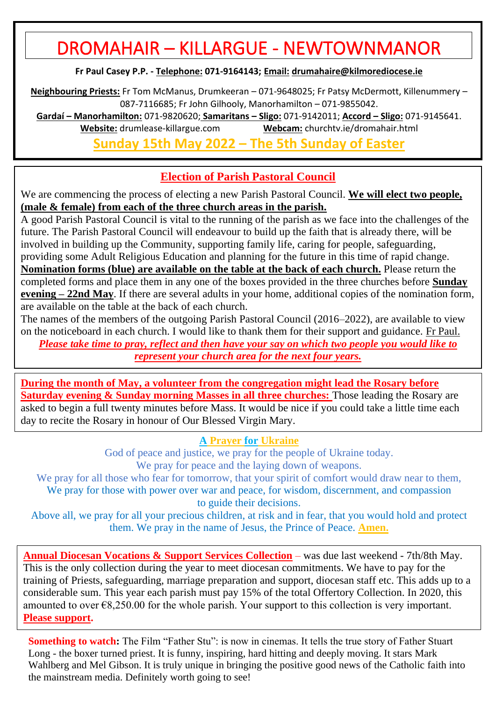# DROMAHAIR – KILLARGUE - NEWTOWNMANOR

**Fr Paul Casey P.P. - Telephone: 071-9164143; Email: [drumahaire@kilmorediocese.ie](about:blank)**

**Neighbouring Priests:** Fr Tom McManus, Drumkeeran – 071-9648025; Fr Patsy McDermott, Killenummery – 087-7116685; Fr John Gilhooly, Manorhamilton – 071-9855042.

**Gardaí – Manorhamilton:** 071-9820620; **Samaritans – Sligo:** 071-9142011; **Accord – Sligo:** 071-9145641. **Website:** drumlease-killargue.com **Webcam:** churchtv.ie/dromahair.html

**Sunday 15th May 2022 – The 5th Sunday of Easter**

## **Election of Parish Pastoral Council**

We are commencing the process of electing a new Parish Pastoral Council. **We will elect two people, (male & female) from each of the three church areas in the parish.**

A good Parish Pastoral Council is vital to the running of the parish as we face into the challenges of the future. The Parish Pastoral Council will endeavour to build up the faith that is already there, will be involved in building up the Community, supporting family life, caring for people, safeguarding, providing some Adult Religious Education and planning for the future in this time of rapid change. **Nomination forms (blue) are available on the table at the back of each church.** Please return the completed forms and place them in any one of the boxes provided in the three churches before **Sunday evening – 22nd May**. If there are several adults in your home, additional copies of the nomination form, are available on the table at the back of each church.

The names of the members of the outgoing Parish Pastoral Council (2016–2022), are available to view on the noticeboard in each church. I would like to thank them for their support and guidance. Fr Paul. *Please take time to pray, reflect and then have your say on which two people you would like to represent your church area for the next four years.*

**During the month of May, a volunteer from the congregation might lead the Rosary before Saturday evening & Sunday morning Masses in all three churches:** Those leading the Rosary are asked to begin a full twenty minutes before Mass. It would be nice if you could take a little time each day to recite the Rosary in honour of Our Blessed Virgin Mary.

#### **A Prayer for Ukraine**

God of peace and justice, we pray for the people of Ukraine today. We pray for peace and the laying down of weapons.

We pray for all those who fear for tomorrow, that your spirit of comfort would draw near to them, We pray for those with power over war and peace, for wisdom, discernment, and compassion to guide their decisions.

Above all, we pray for all your precious children, at risk and in fear, that you would hold and protect them. We pray in the name of Jesus, the Prince of Peace. **Amen.**

**Annual Diocesan Vocations & Support Services Collection** – was due last weekend - 7th/8th May. This is the only collection during the year to meet diocesan commitments. We have to pay for the training of Priests, safeguarding, marriage preparation and support, diocesan staff etc. This adds up to a considerable sum. This year each parish must pay 15% of the total Offertory Collection. In 2020, this amounted to over  $\epsilon$ 8,250.00 for the whole parish. Your support to this collection is very important. **Please support.**

**Something to watch:** The Film "Father Stu": is now in cinemas. It tells the true story of Father Stuart Long - the boxer turned priest. It is funny, inspiring, hard hitting and deeply moving. It stars Mark Wahlberg and Mel Gibson. It is truly unique in bringing the positive good news of the Catholic faith into the mainstream media. Definitely worth going to see!